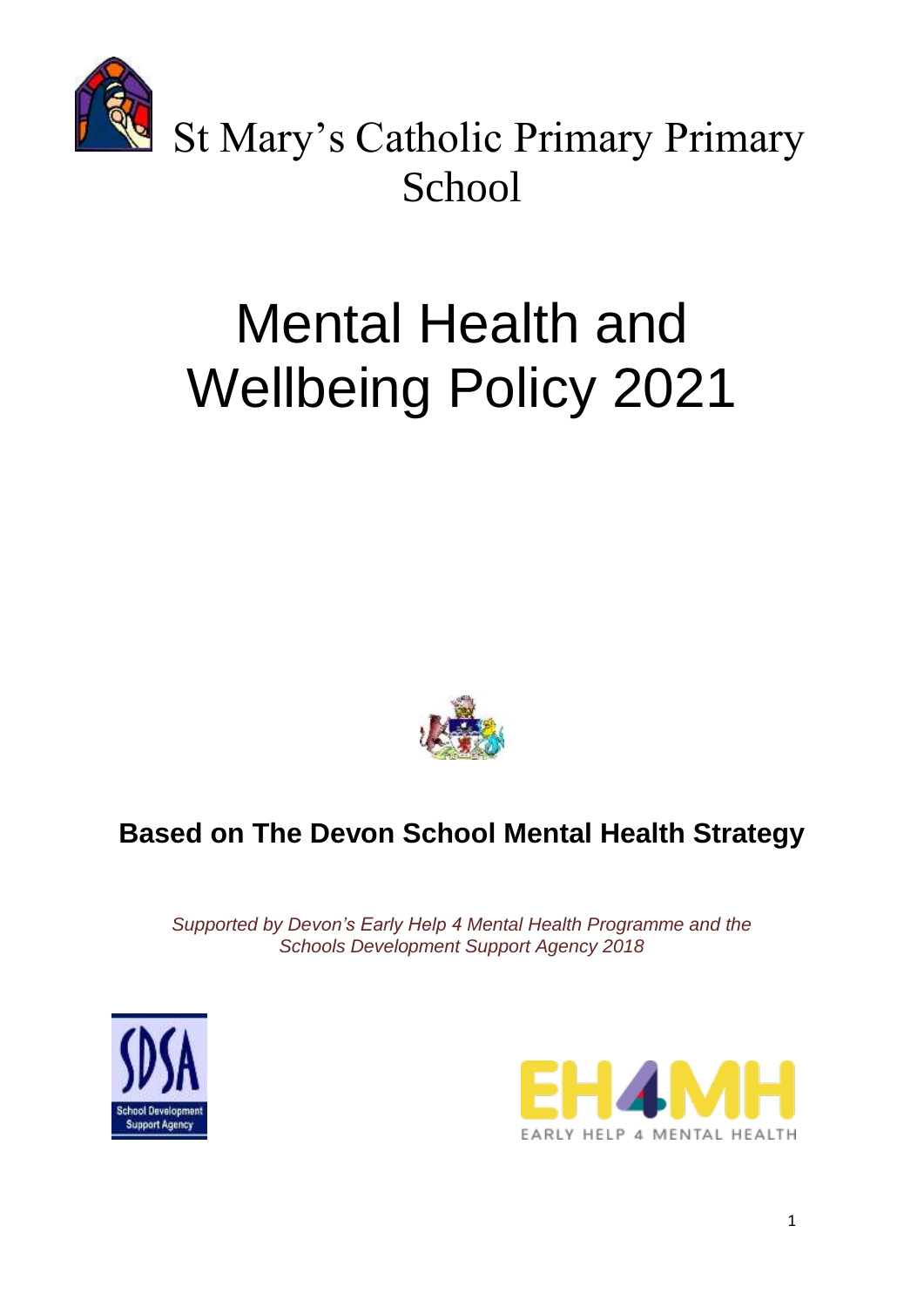

St Mary's Catholic Primary Primary **School** 

# Mental Health and Wellbeing Policy 2021



# **Based on The Devon School Mental Health Strategy**

*Supported by Devon's Early Help 4 Mental Health Programme and the Schools Development Support Agency 2018*



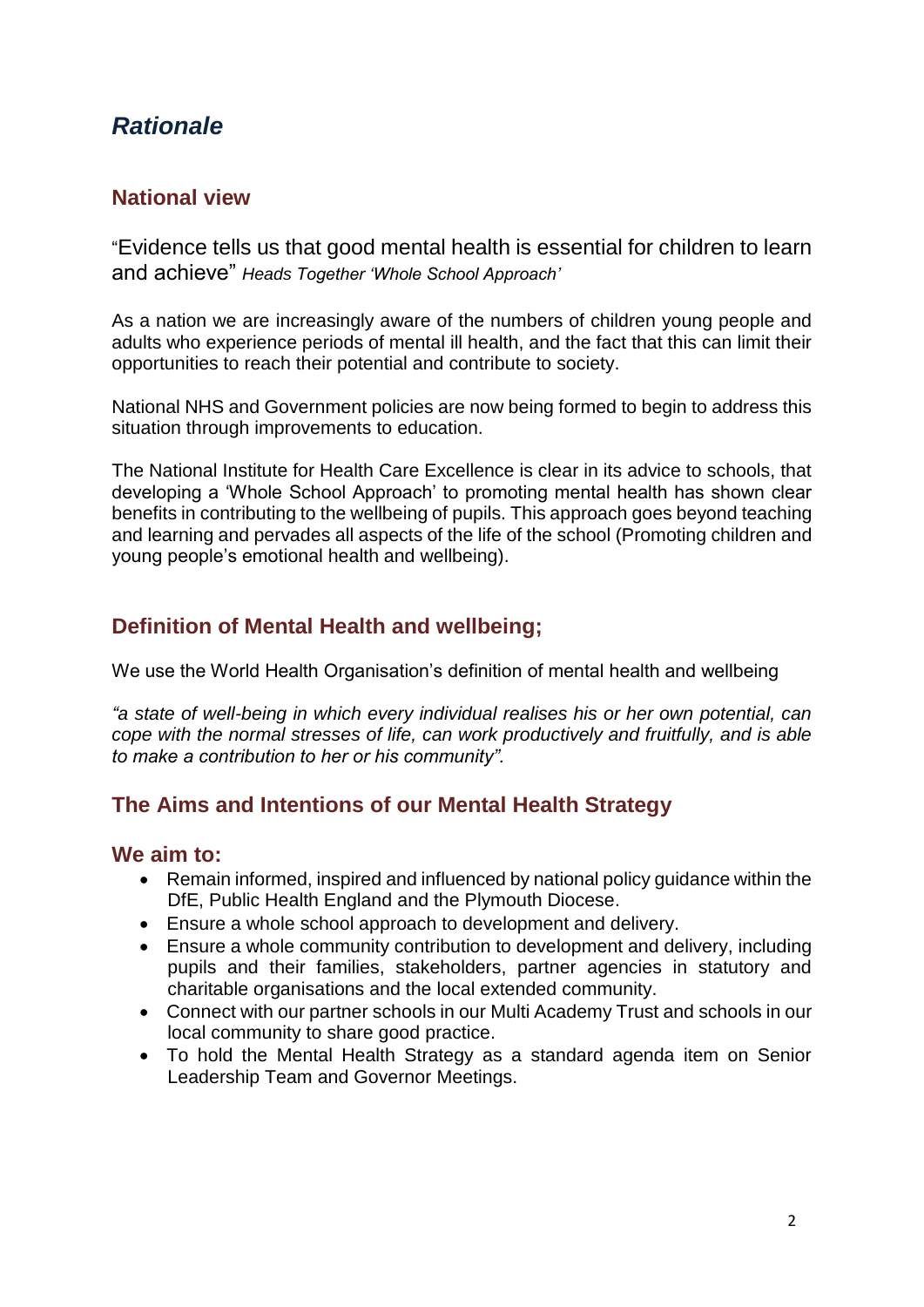# *Rationale*

#### **National view**

"Evidence tells us that good mental health is essential for children to learn and achieve" *Heads Together 'Whole School Approach'*

As a nation we are increasingly aware of the numbers of children young people and adults who experience periods of mental ill health, and the fact that this can limit their opportunities to reach their potential and contribute to society.

National NHS and Government policies are now being formed to begin to address this situation through improvements to education.

The National Institute for Health Care Excellence is clear in its advice to schools, that developing a 'Whole School Approach' to promoting mental health has shown clear benefits in contributing to the wellbeing of pupils. This approach goes beyond teaching and learning and pervades all aspects of the life of the school (Promoting children and young people's emotional health and wellbeing).

### **Definition of Mental Health and wellbeing;**

We use the World Health Organisation's definition of mental health and wellbeing

*"a state of well-being in which every individual realises his or her own potential, can cope with the normal stresses of life, can work productively and fruitfully, and is able to make a contribution to her or his community".*

#### **The Aims and Intentions of our Mental Health Strategy**

#### **We aim to:**

- Remain informed, inspired and influenced by national policy guidance within the DfE, Public Health England and the Plymouth Diocese.
- Ensure a whole school approach to development and delivery.
- Ensure a whole community contribution to development and delivery, including pupils and their families, stakeholders, partner agencies in statutory and charitable organisations and the local extended community.
- Connect with our partner schools in our Multi Academy Trust and schools in our local community to share good practice.
- To hold the Mental Health Strategy as a standard agenda item on Senior Leadership Team and Governor Meetings.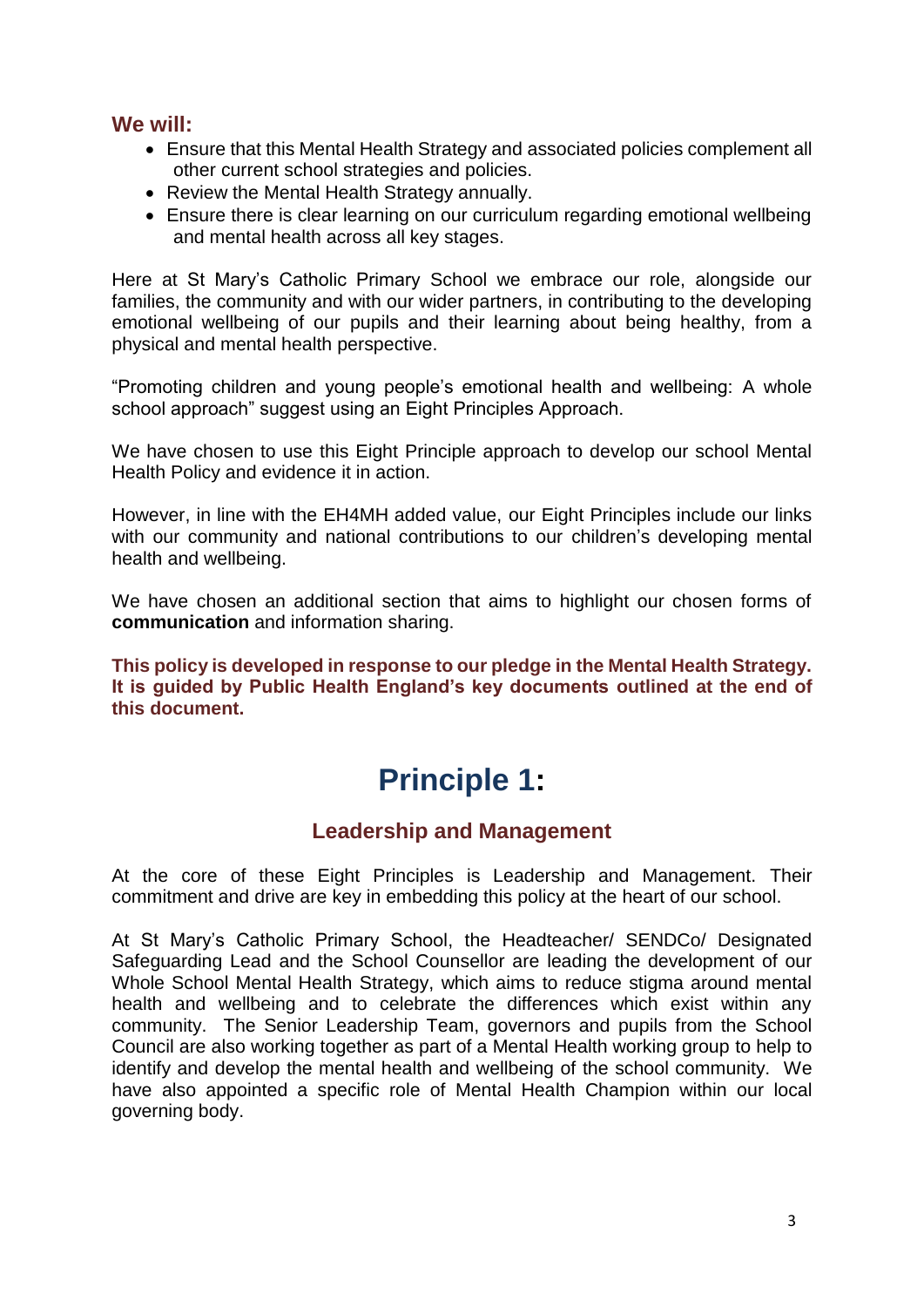#### **We will:**

- Ensure that this Mental Health Strategy and associated policies complement all other current school strategies and policies.
- Review the Mental Health Strategy annually.
- Ensure there is clear learning on our curriculum regarding emotional wellbeing and mental health across all key stages.

Here at St Mary's Catholic Primary School we embrace our role, alongside our families, the community and with our wider partners, in contributing to the developing emotional wellbeing of our pupils and their learning about being healthy, from a physical and mental health perspective.

"Promoting children and young people's emotional health and wellbeing: A whole school approach" suggest using an Eight Principles Approach.

We have chosen to use this Eight Principle approach to develop our school Mental Health Policy and evidence it in action.

However, in line with the EH4MH added value, our Eight Principles include our links with our community and national contributions to our children's developing mental health and wellbeing.

We have chosen an additional section that aims to highlight our chosen forms of **communication** and information sharing.

**This policy is developed in response to our pledge in the Mental Health Strategy. It is guided by Public Health England's key documents outlined at the end of this document.**

# **Principle 1:**

#### **Leadership and Management**

At the core of these Eight Principles is Leadership and Management. Their commitment and drive are key in embedding this policy at the heart of our school.

At St Mary's Catholic Primary School, the Headteacher/ SENDCo/ Designated Safeguarding Lead and the School Counsellor are leading the development of our Whole School Mental Health Strategy, which aims to reduce stigma around mental health and wellbeing and to celebrate the differences which exist within any community. The Senior Leadership Team, governors and pupils from the School Council are also working together as part of a Mental Health working group to help to identify and develop the mental health and wellbeing of the school community. We have also appointed a specific role of Mental Health Champion within our local governing body.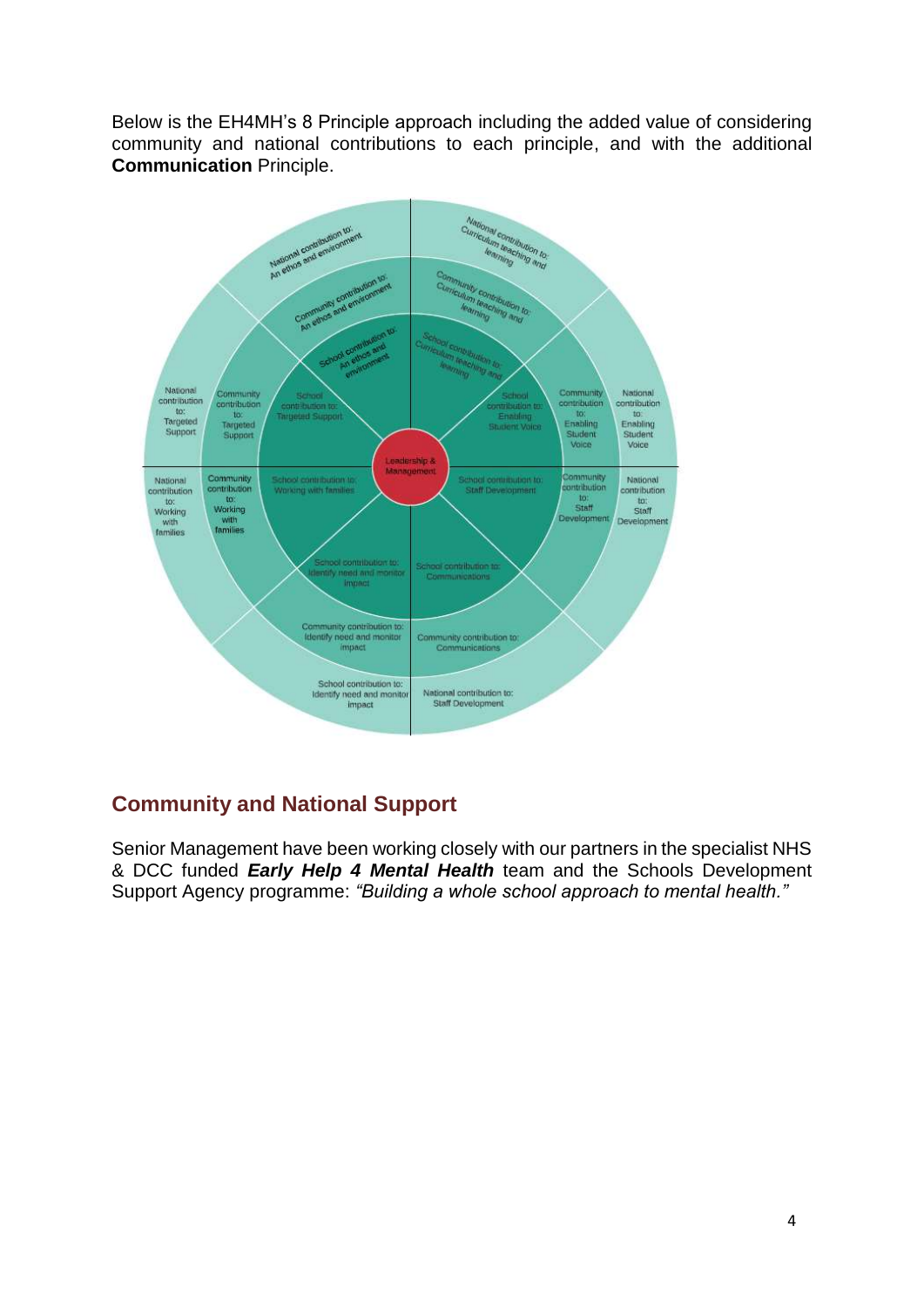Below is the EH4MH's 8 Principle approach including the added value of considering community and national contributions to each principle, and with the additional **Communication** Principle.



# **Community and National Support**

Senior Management have been working closely with our partners in the specialist NHS & DCC funded *Early Help 4 Mental Health* team and the Schools Development Support Agency programme: *"Building a whole school approach to mental health."*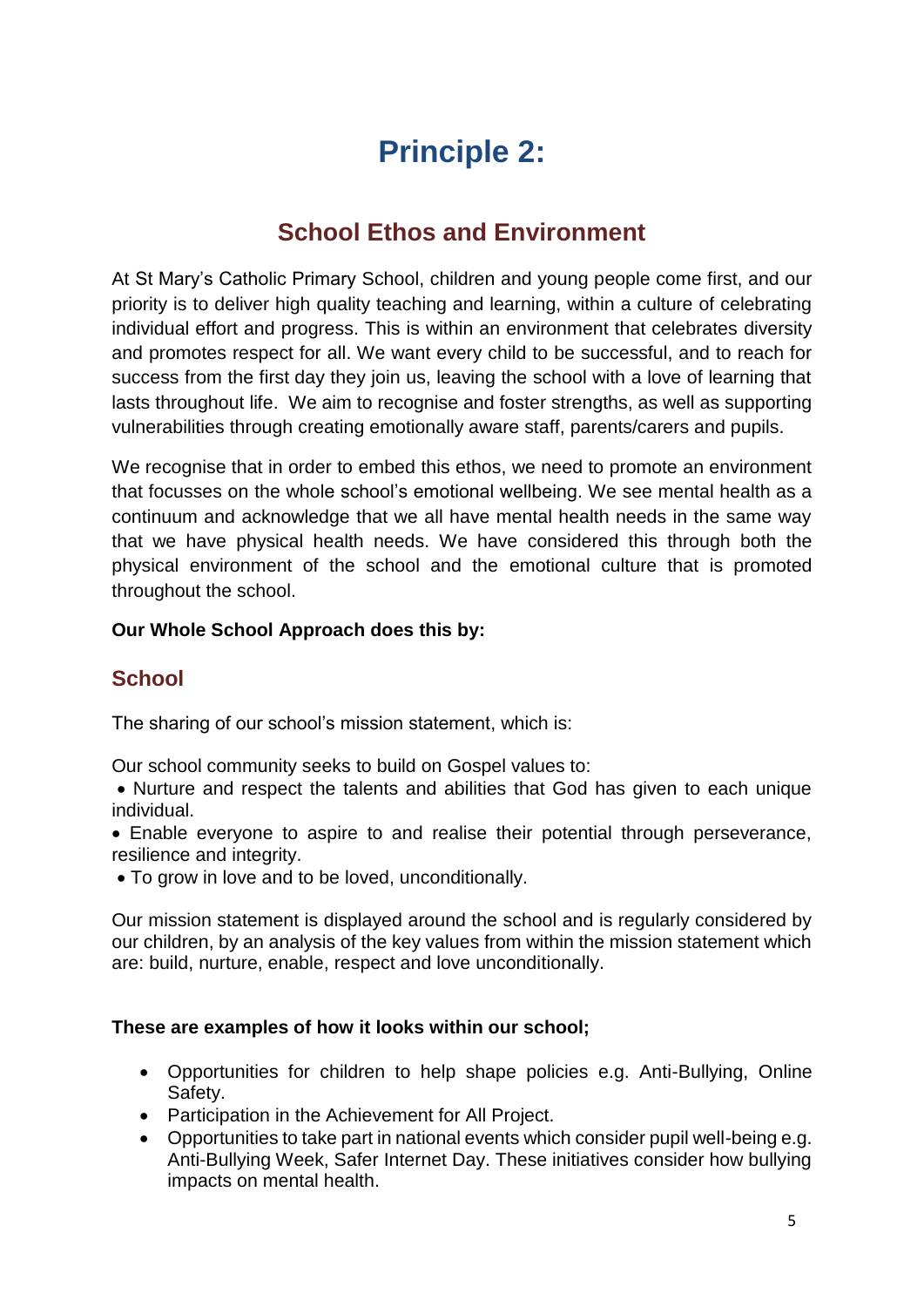# **Principle 2:**

# **School Ethos and Environment**

At St Mary's Catholic Primary School, children and young people come first, and our priority is to deliver high quality teaching and learning, within a culture of celebrating individual effort and progress. This is within an environment that celebrates diversity and promotes respect for all. We want every child to be successful, and to reach for success from the first day they join us, leaving the school with a love of learning that lasts throughout life. We aim to recognise and foster strengths, as well as supporting vulnerabilities through creating emotionally aware staff, parents/carers and pupils.

We recognise that in order to embed this ethos, we need to promote an environment that focusses on the whole school's emotional wellbeing. We see mental health as a continuum and acknowledge that we all have mental health needs in the same way that we have physical health needs. We have considered this through both the physical environment of the school and the emotional culture that is promoted throughout the school.

#### **Our Whole School Approach does this by:**

# **School**

The sharing of our school's mission statement, which is:

Our school community seeks to build on Gospel values to:

 Nurture and respect the talents and abilities that God has given to each unique individual.

 Enable everyone to aspire to and realise their potential through perseverance, resilience and integrity.

• To grow in love and to be loved, unconditionally.

Our mission statement is displayed around the school and is regularly considered by our children, by an analysis of the key values from within the mission statement which are: build, nurture, enable, respect and love unconditionally.

#### **These are examples of how it looks within our school;**

- Opportunities for children to help shape policies e.g. Anti-Bullying, Online Safety.
- Participation in the Achievement for All Project.
- Opportunities to take part in national events which consider pupil well-being e.g. Anti-Bullying Week, Safer Internet Day. These initiatives consider how bullying impacts on mental health.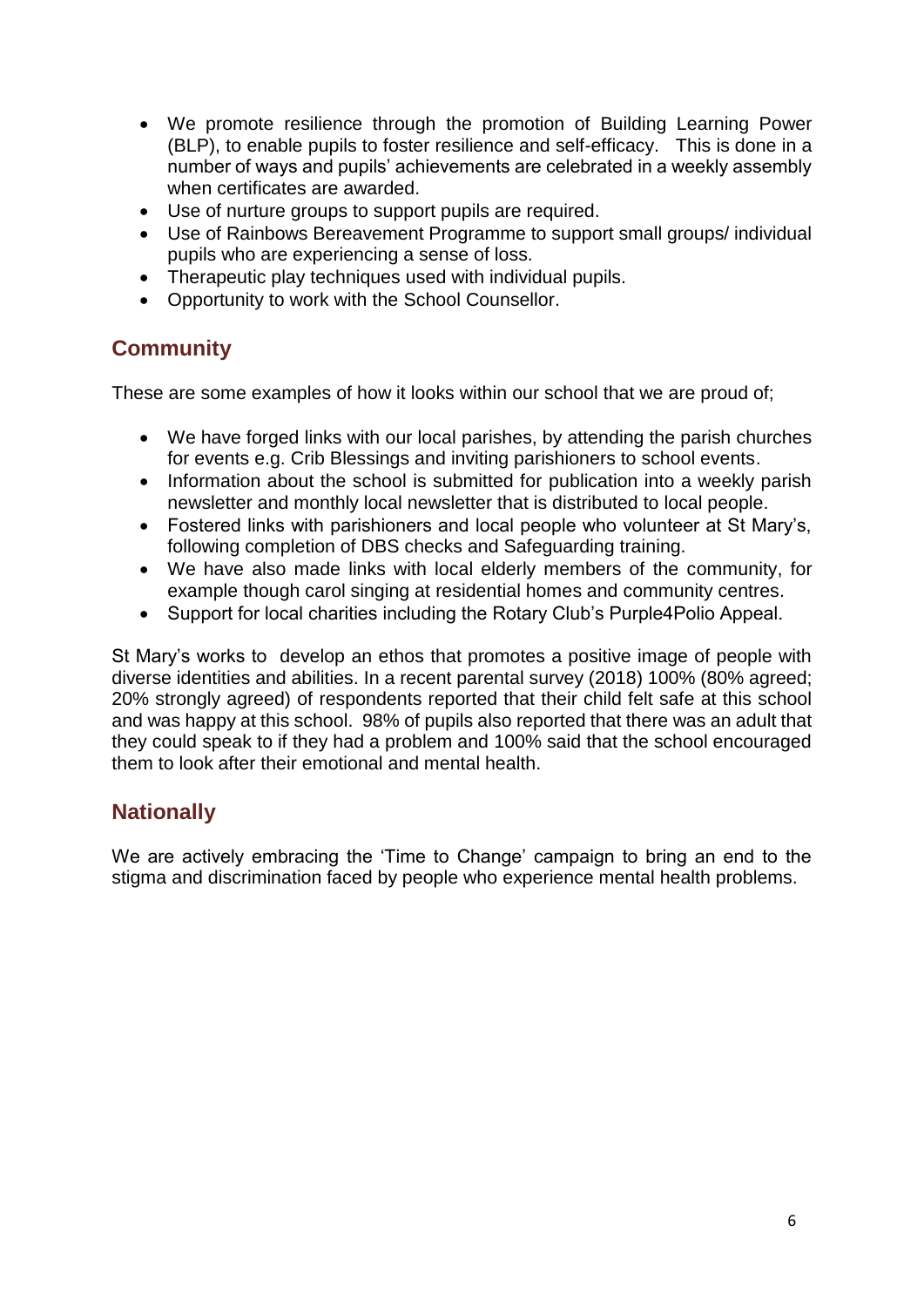- We promote resilience through the promotion of Building Learning Power (BLP), to enable pupils to foster resilience and self-efficacy. This is done in a number of ways and pupils' achievements are celebrated in a weekly assembly when certificates are awarded.
- Use of nurture groups to support pupils are required.
- Use of Rainbows Bereavement Programme to support small groups/ individual pupils who are experiencing a sense of loss.
- Therapeutic play techniques used with individual pupils.
- Opportunity to work with the School Counsellor.

### **Community**

These are some examples of how it looks within our school that we are proud of;

- We have forged links with our local parishes, by attending the parish churches for events e.g. Crib Blessings and inviting parishioners to school events.
- Information about the school is submitted for publication into a weekly parish newsletter and monthly local newsletter that is distributed to local people.
- Fostered links with parishioners and local people who volunteer at St Mary's, following completion of DBS checks and Safeguarding training.
- We have also made links with local elderly members of the community, for example though carol singing at residential homes and community centres.
- Support for local charities including the Rotary Club's Purple4Polio Appeal.

St Mary's works to develop an ethos that promotes a positive image of people with diverse identities and abilities. In a recent parental survey (2018) 100% (80% agreed; 20% strongly agreed) of respondents reported that their child felt safe at this school and was happy at this school. 98% of pupils also reported that there was an adult that they could speak to if they had a problem and 100% said that the school encouraged them to look after their emotional and mental health.

#### **Nationally**

We are actively embracing the 'Time to Change' campaign to bring an end to the stigma and discrimination faced by people who experience mental health problems.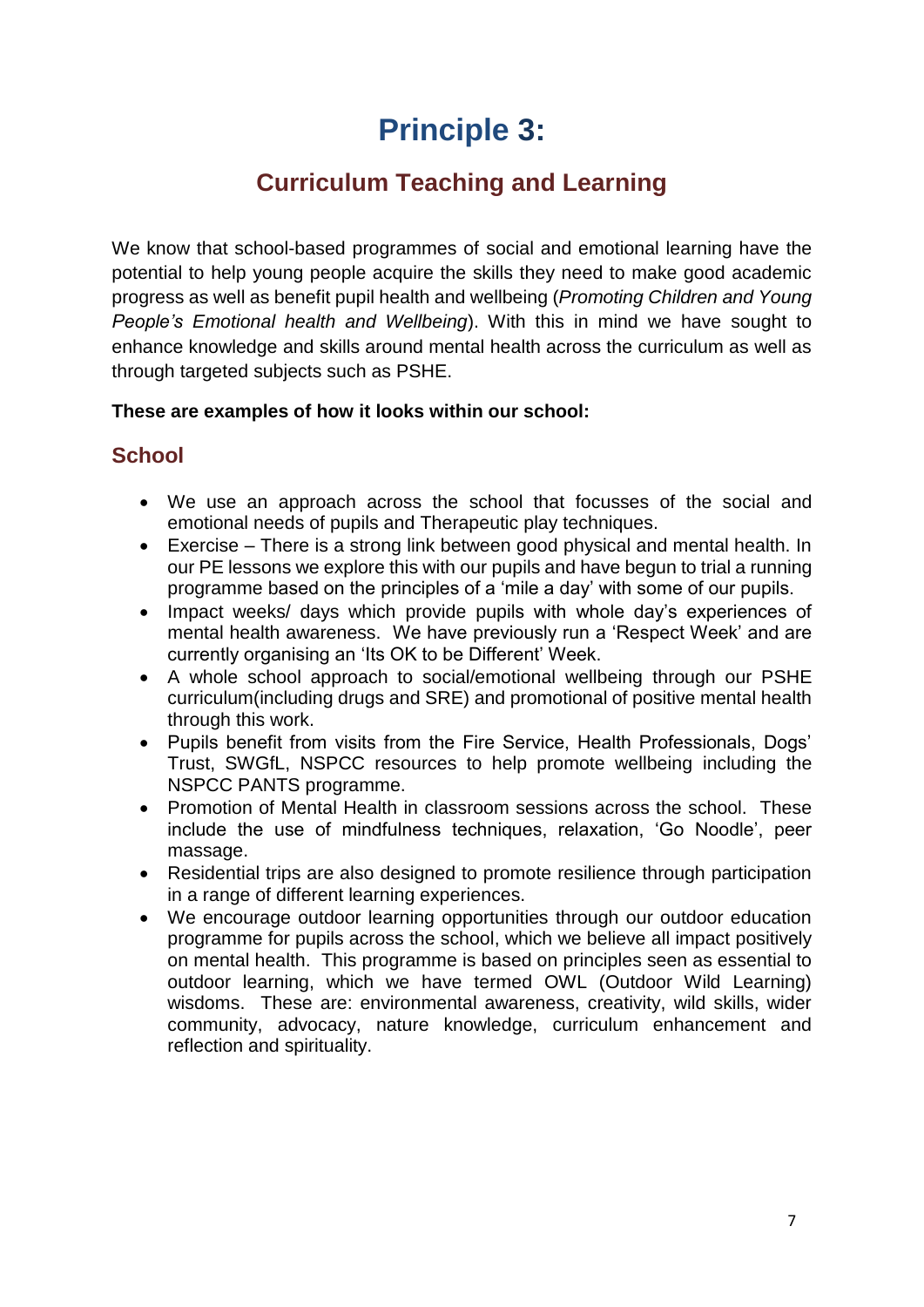# **Principle 3:**

# **Curriculum Teaching and Learning**

We know that school-based programmes of social and emotional learning have the potential to help young people acquire the skills they need to make good academic progress as well as benefit pupil health and wellbeing (*Promoting Children and Young People's Emotional health and Wellbeing*). With this in mind we have sought to enhance knowledge and skills around mental health across the curriculum as well as through targeted subjects such as PSHE.

#### **These are examples of how it looks within our school:**

### **School**

- We use an approach across the school that focusses of the social and emotional needs of pupils and Therapeutic play techniques.
- Exercise There is a strong link between good physical and mental health. In our PE lessons we explore this with our pupils and have begun to trial a running programme based on the principles of a 'mile a day' with some of our pupils.
- Impact weeks/ days which provide pupils with whole day's experiences of mental health awareness. We have previously run a 'Respect Week' and are currently organising an 'Its OK to be Different' Week.
- A whole school approach to social/emotional wellbeing through our PSHE curriculum(including drugs and SRE) and promotional of positive mental health through this work.
- Pupils benefit from visits from the Fire Service, Health Professionals, Dogs' Trust, SWGfL, NSPCC resources to help promote wellbeing including the NSPCC PANTS programme.
- Promotion of Mental Health in classroom sessions across the school. These include the use of mindfulness techniques, relaxation, 'Go Noodle', peer massage.
- Residential trips are also designed to promote resilience through participation in a range of different learning experiences.
- We encourage outdoor learning opportunities through our outdoor education programme for pupils across the school, which we believe all impact positively on mental health. This programme is based on principles seen as essential to outdoor learning, which we have termed OWL (Outdoor Wild Learning) wisdoms. These are: environmental awareness, creativity, wild skills, wider community, advocacy, nature knowledge, curriculum enhancement and reflection and spirituality.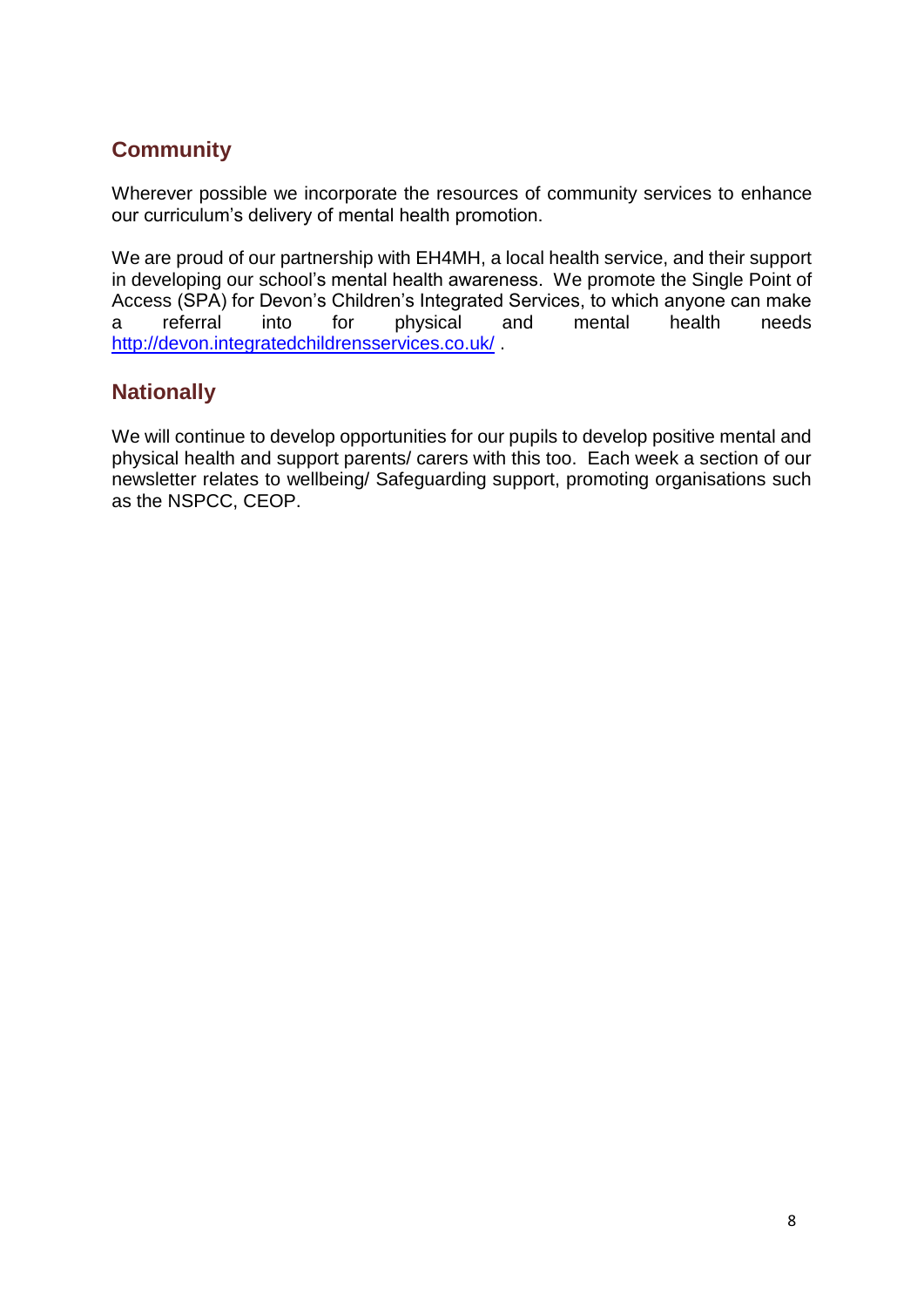# **Community**

Wherever possible we incorporate the resources of community services to enhance our curriculum's delivery of mental health promotion.

We are proud of our partnership with EH4MH, a local health service, and their support in developing our school's mental health awareness. We promote the Single Point of Access (SPA) for Devon's Children's Integrated Services, to which anyone can make a referral into for physical and mental health needs <http://devon.integratedchildrensservices.co.uk/> .

### **Nationally**

We will continue to develop opportunities for our pupils to develop positive mental and physical health and support parents/ carers with this too. Each week a section of our newsletter relates to wellbeing/ Safeguarding support, promoting organisations such as the NSPCC, CEOP.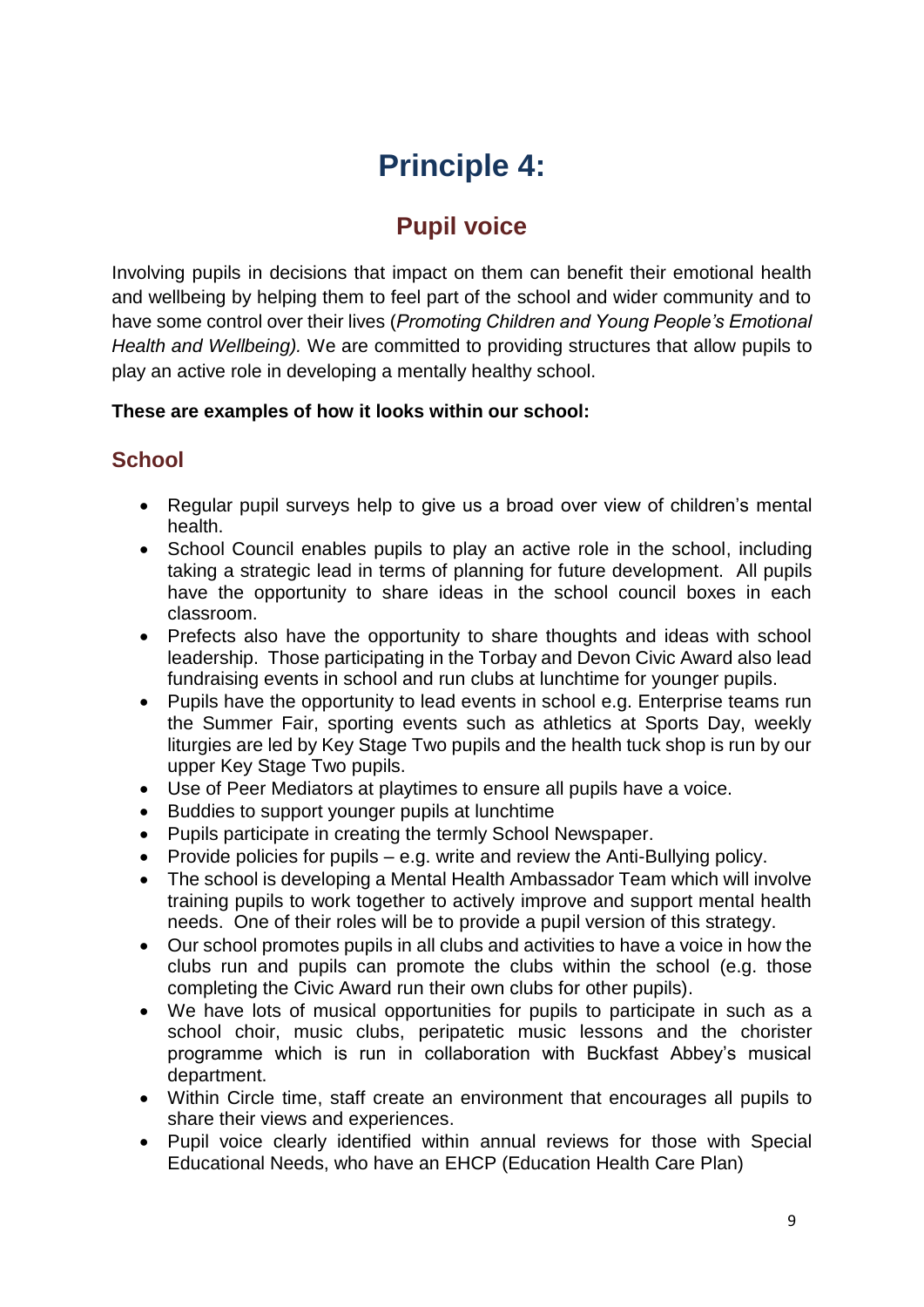# **Principle 4:**

# **Pupil voice**

Involving pupils in decisions that impact on them can benefit their emotional health and wellbeing by helping them to feel part of the school and wider community and to have some control over their lives (*Promoting Children and Young People's Emotional Health and Wellbeing).* We are committed to providing structures that allow pupils to play an active role in developing a mentally healthy school.

#### **These are examples of how it looks within our school:**

# **School**

- Regular pupil surveys help to give us a broad over view of children's mental health.
- School Council enables pupils to play an active role in the school, including taking a strategic lead in terms of planning for future development. All pupils have the opportunity to share ideas in the school council boxes in each classroom.
- Prefects also have the opportunity to share thoughts and ideas with school leadership. Those participating in the Torbay and Devon Civic Award also lead fundraising events in school and run clubs at lunchtime for younger pupils.
- Pupils have the opportunity to lead events in school e.g. Enterprise teams run the Summer Fair, sporting events such as athletics at Sports Day, weekly liturgies are led by Key Stage Two pupils and the health tuck shop is run by our upper Key Stage Two pupils.
- Use of Peer Mediators at playtimes to ensure all pupils have a voice.
- Buddies to support younger pupils at lunchtime
- Pupils participate in creating the termly School Newspaper.
- Provide policies for pupils  $-$  e.g. write and review the Anti-Bullying policy.
- The school is developing a Mental Health Ambassador Team which will involve training pupils to work together to actively improve and support mental health needs. One of their roles will be to provide a pupil version of this strategy.
- Our school promotes pupils in all clubs and activities to have a voice in how the clubs run and pupils can promote the clubs within the school (e.g. those completing the Civic Award run their own clubs for other pupils).
- We have lots of musical opportunities for pupils to participate in such as a school choir, music clubs, peripatetic music lessons and the chorister programme which is run in collaboration with Buckfast Abbey's musical department.
- Within Circle time, staff create an environment that encourages all pupils to share their views and experiences.
- Pupil voice clearly identified within annual reviews for those with Special Educational Needs, who have an EHCP (Education Health Care Plan)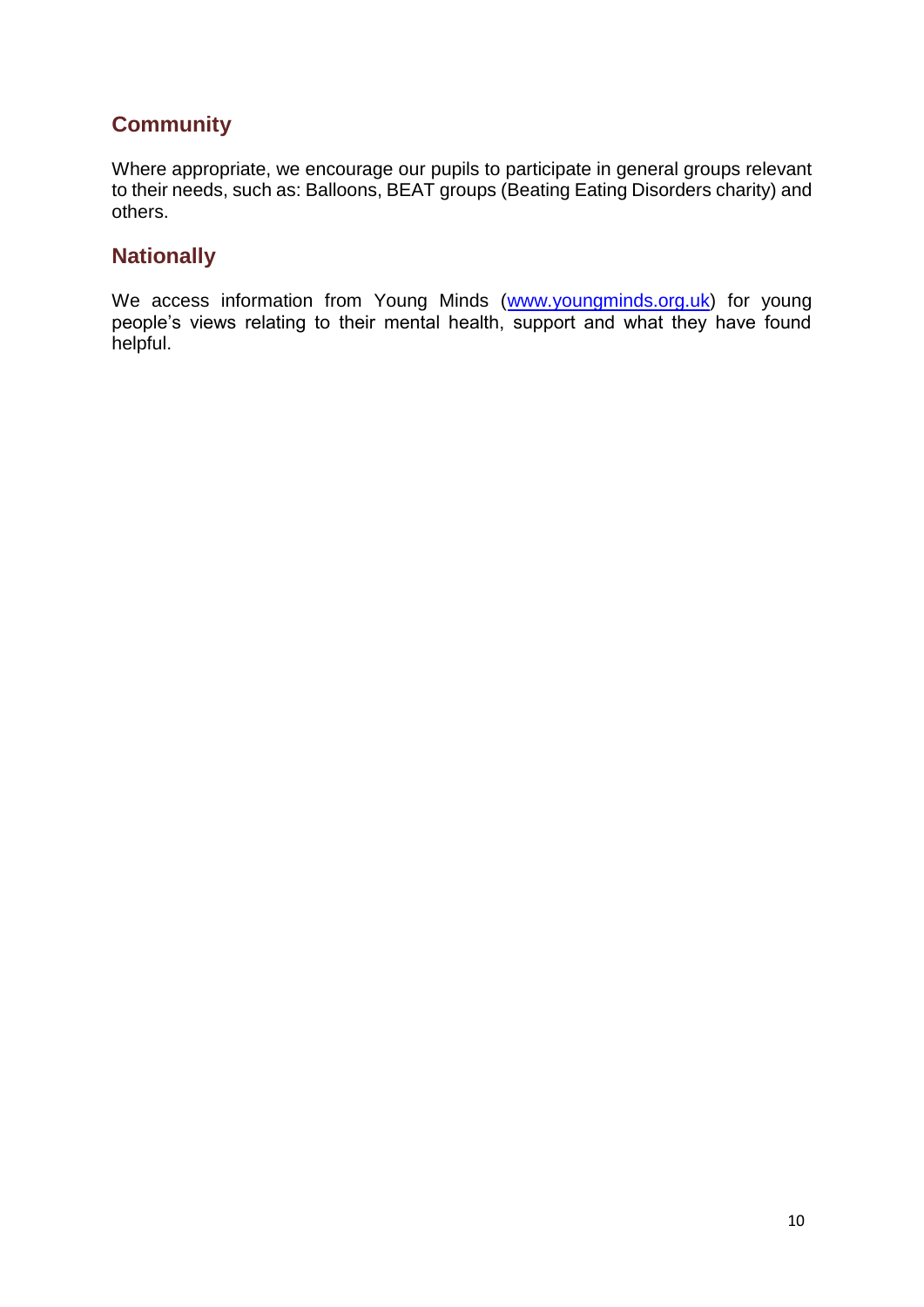# **Community**

Where appropriate, we encourage our pupils to participate in general groups relevant to their needs, such as: Balloons, BEAT groups (Beating Eating Disorders charity) and others.

#### **Nationally**

We access information from Young Minds [\(www.youngminds.org.uk\)](http://www.youngminds.org.uk/) for young people's views relating to their mental health, support and what they have found helpful.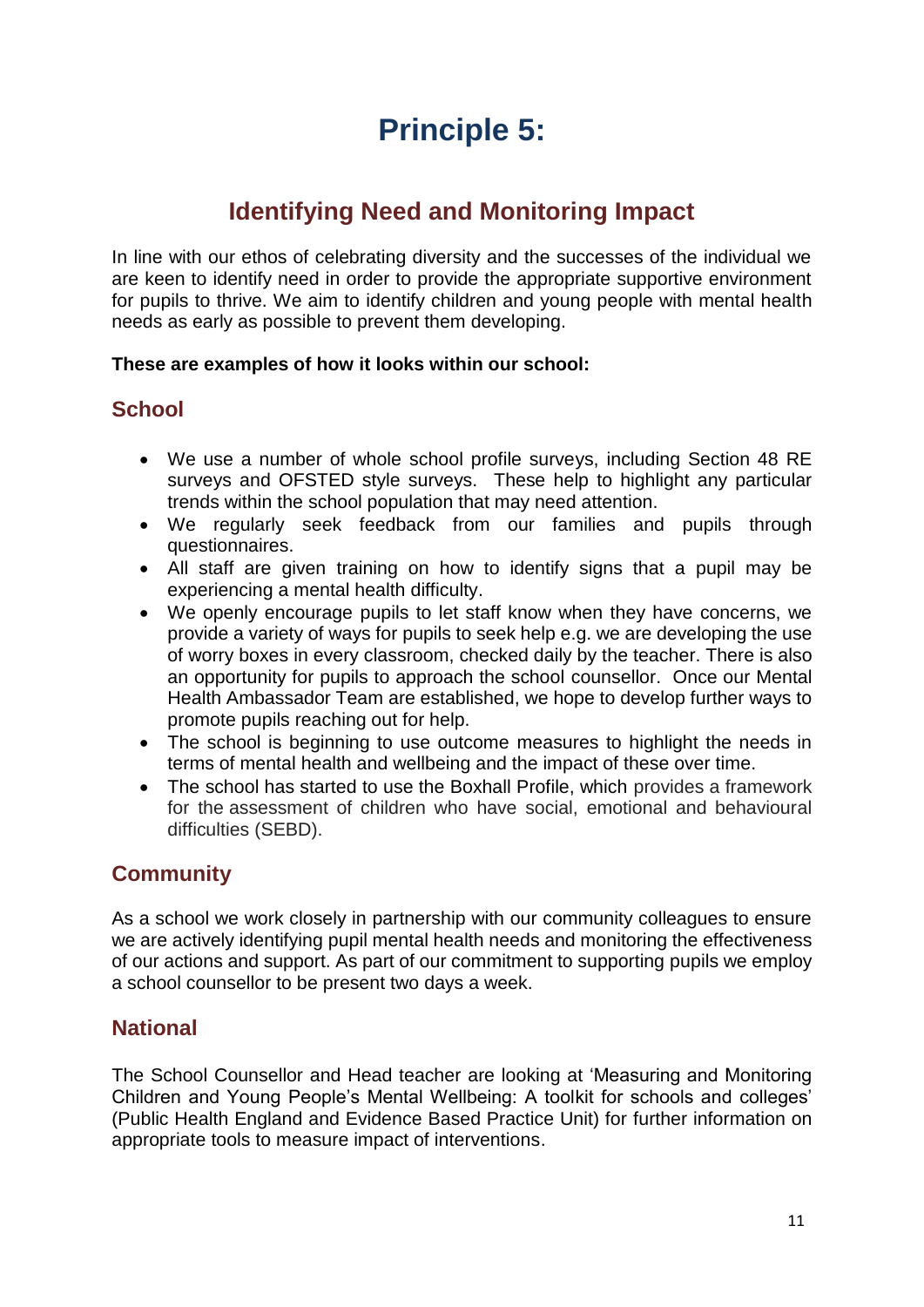# **Principle 5:**

# **Identifying Need and Monitoring Impact**

In line with our ethos of celebrating diversity and the successes of the individual we are keen to identify need in order to provide the appropriate supportive environment for pupils to thrive. We aim to identify children and young people with mental health needs as early as possible to prevent them developing.

#### **These are examples of how it looks within our school:**

#### **School**

- We use a number of whole school profile surveys, including Section 48 RE surveys and OFSTED style surveys. These help to highlight any particular trends within the school population that may need attention.
- We regularly seek feedback from our families and pupils through questionnaires.
- All staff are given training on how to identify signs that a pupil may be experiencing a mental health difficulty.
- We openly encourage pupils to let staff know when they have concerns, we provide a variety of ways for pupils to seek help e.g. we are developing the use of worry boxes in every classroom, checked daily by the teacher. There is also an opportunity for pupils to approach the school counsellor. Once our Mental Health Ambassador Team are established, we hope to develop further ways to promote pupils reaching out for help.
- The school is beginning to use outcome measures to highlight the needs in terms of mental health and wellbeing and the impact of these over time.
- The school has started to use the Boxhall Profile, which provides a framework for the assessment of children who have social, emotional and behavioural difficulties (SEBD).

#### **Community**

As a school we work closely in partnership with our community colleagues to ensure we are actively identifying pupil mental health needs and monitoring the effectiveness of our actions and support. As part of our commitment to supporting pupils we employ a school counsellor to be present two days a week.

#### **National**

The School Counsellor and Head teacher are looking at 'Measuring and Monitoring Children and Young People's Mental Wellbeing: A toolkit for schools and colleges' (Public Health England and Evidence Based Practice Unit) for further information on appropriate tools to measure impact of interventions.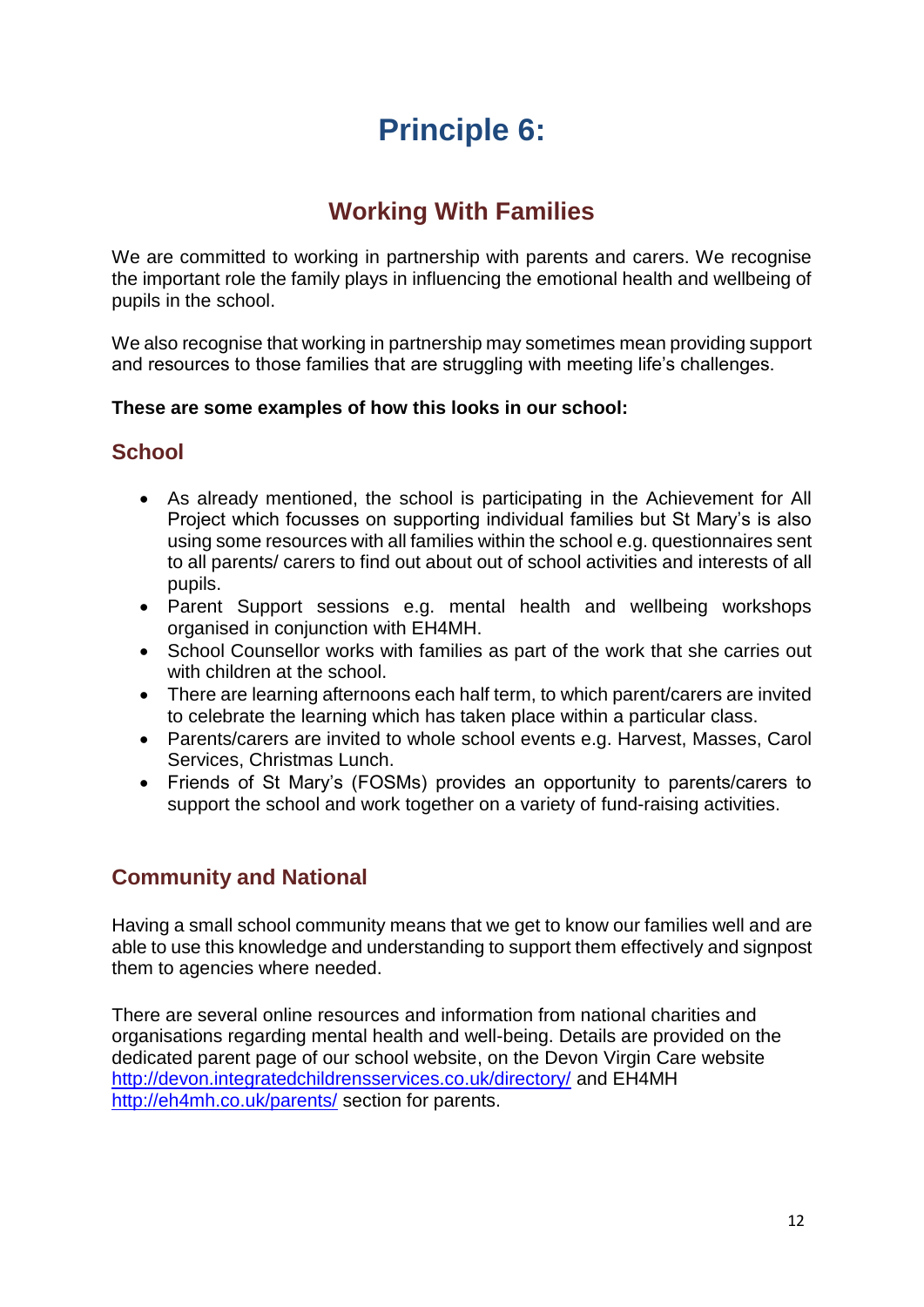# **Principle 6:**

# **Working With Families**

We are committed to working in partnership with parents and carers. We recognise the important role the family plays in influencing the emotional health and wellbeing of pupils in the school.

We also recognise that working in partnership may sometimes mean providing support and resources to those families that are struggling with meeting life's challenges.

#### **These are some examples of how this looks in our school:**

### **School**

- As already mentioned, the school is participating in the Achievement for All Project which focusses on supporting individual families but St Mary's is also using some resources with all families within the school e.g. questionnaires sent to all parents/ carers to find out about out of school activities and interests of all pupils.
- Parent Support sessions e.g. mental health and wellbeing workshops organised in conjunction with EH4MH.
- School Counsellor works with families as part of the work that she carries out with children at the school.
- There are learning afternoons each half term, to which parent/carers are invited to celebrate the learning which has taken place within a particular class.
- Parents/carers are invited to whole school events e.g. Harvest, Masses, Carol Services, Christmas Lunch.
- Friends of St Mary's (FOSMs) provides an opportunity to parents/carers to support the school and work together on a variety of fund-raising activities.

# **Community and National**

Having a small school community means that we get to know our families well and are able to use this knowledge and understanding to support them effectively and signpost them to agencies where needed.

There are several online resources and information from national charities and organisations regarding mental health and well-being. Details are provided on the dedicated parent page of our school website, on the Devon Virgin Care website <http://devon.integratedchildrensservices.co.uk/directory/> and EH4MH <http://eh4mh.co.uk/parents/> section for parents.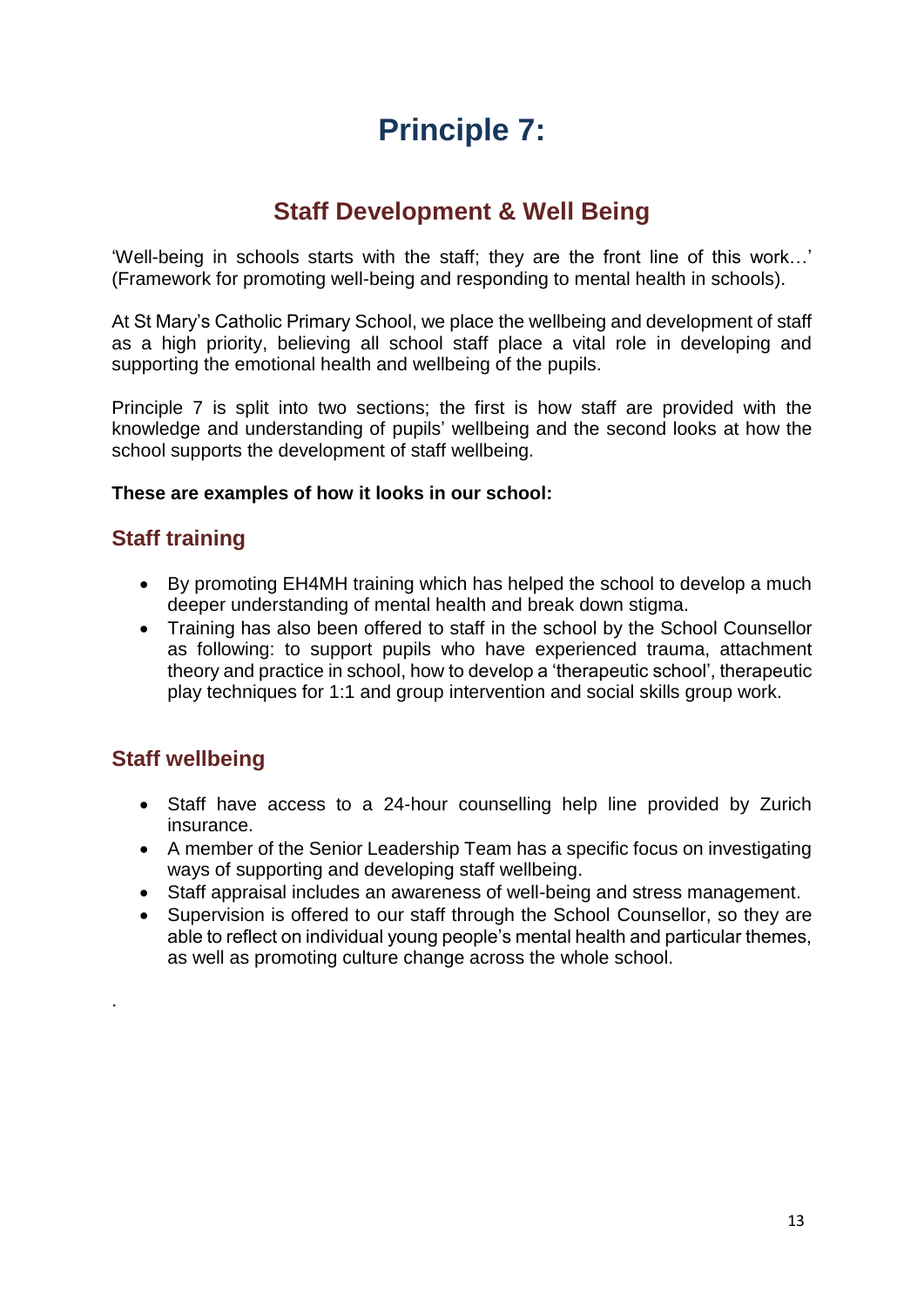# **Principle 7:**

# **Staff Development & Well Being**

'Well-being in schools starts with the staff; they are the front line of this work…' (Framework for promoting well-being and responding to mental health in schools).

At St Mary's Catholic Primary School, we place the wellbeing and development of staff as a high priority, believing all school staff place a vital role in developing and supporting the emotional health and wellbeing of the pupils.

Principle 7 is split into two sections; the first is how staff are provided with the knowledge and understanding of pupils' wellbeing and the second looks at how the school supports the development of staff wellbeing.

#### **These are examples of how it looks in our school:**

# **Staff training**

- By promoting EH4MH training which has helped the school to develop a much deeper understanding of mental health and break down stigma.
- Training has also been offered to staff in the school by the School Counsellor as following: to support pupils who have experienced trauma, attachment theory and practice in school, how to develop a 'therapeutic school', therapeutic play techniques for 1:1 and group intervention and social skills group work.

# **Staff wellbeing**

.

- Staff have access to a 24-hour counselling help line provided by Zurich insurance.
- A member of the Senior Leadership Team has a specific focus on investigating ways of supporting and developing staff wellbeing.
- Staff appraisal includes an awareness of well-being and stress management.
- Supervision is offered to our staff through the School Counsellor, so they are able to reflect on individual young people's mental health and particular themes, as well as promoting culture change across the whole school.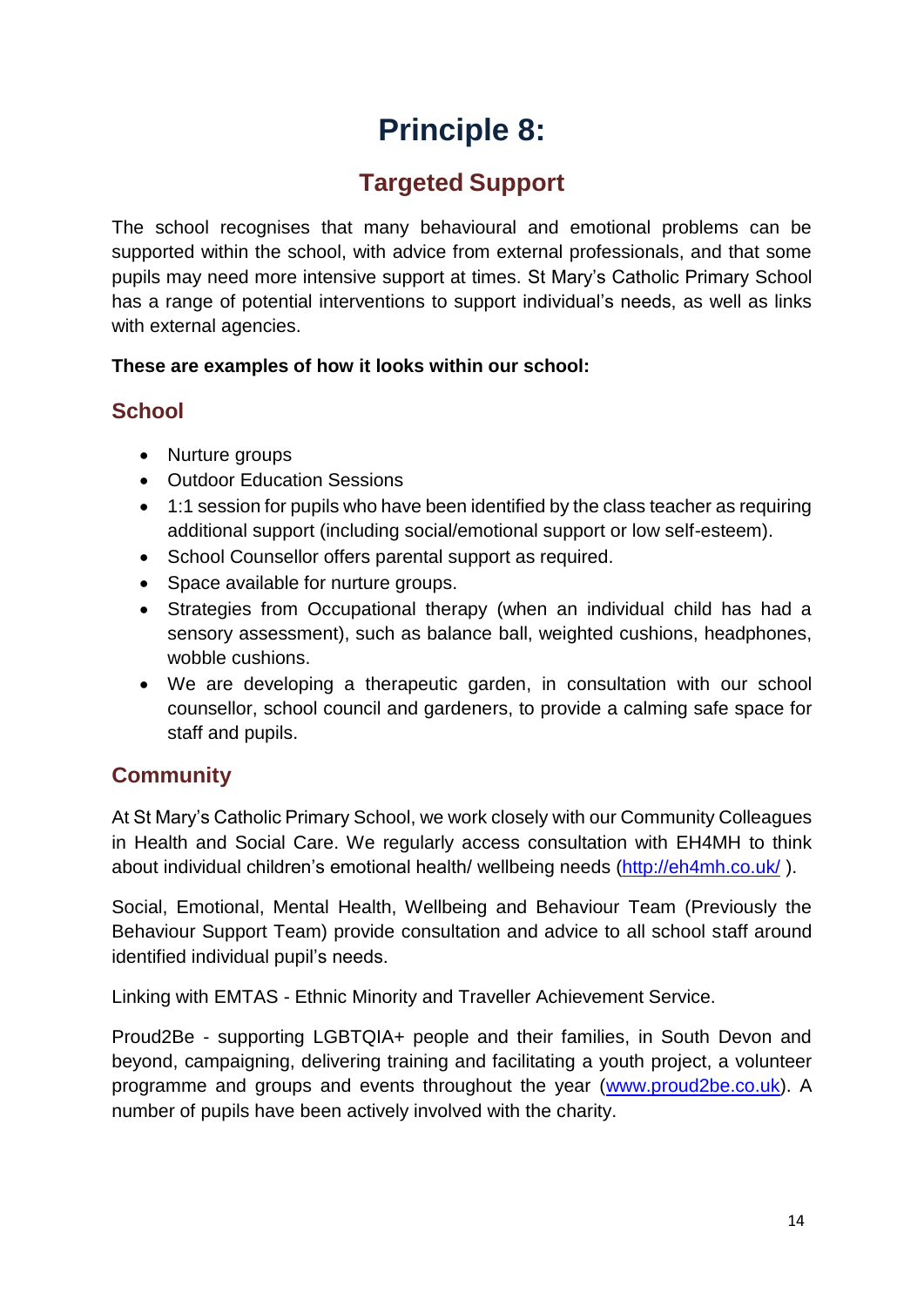# **Principle 8:**

# **Targeted Support**

The school recognises that many behavioural and emotional problems can be supported within the school, with advice from external professionals, and that some pupils may need more intensive support at times. St Mary's Catholic Primary School has a range of potential interventions to support individual's needs, as well as links with external agencies.

#### **These are examples of how it looks within our school:**

#### **School**

- Nurture groups
- Outdoor Education Sessions
- 1:1 session for pupils who have been identified by the class teacher as requiring additional support (including social/emotional support or low self-esteem).
- School Counsellor offers parental support as required.
- Space available for nurture groups.
- Strategies from Occupational therapy (when an individual child has had a sensory assessment), such as balance ball, weighted cushions, headphones, wobble cushions.
- We are developing a therapeutic garden, in consultation with our school counsellor, school council and gardeners, to provide a calming safe space for staff and pupils.

# **Community**

At St Mary's Catholic Primary School, we work closely with our Community Colleagues in Health and Social Care. We regularly access consultation with EH4MH to think about individual children's emotional health/ wellbeing needs [\(http://eh4mh.co.uk/](http://eh4mh.co.uk/) ).

Social, Emotional, Mental Health, Wellbeing and Behaviour Team (Previously the Behaviour Support Team) provide consultation and advice to all school staff around identified individual pupil's needs.

Linking with EMTAS - Ethnic Minority and Traveller Achievement Service.

Proud2Be - supporting LGBTQIA+ people and their families, in South Devon and beyond, campaigning, delivering training and facilitating a youth project, a volunteer programme and groups and events throughout the year [\(www.proud2be.co.uk\)](http://www.proud2be.co.uk/). A number of pupils have been actively involved with the charity.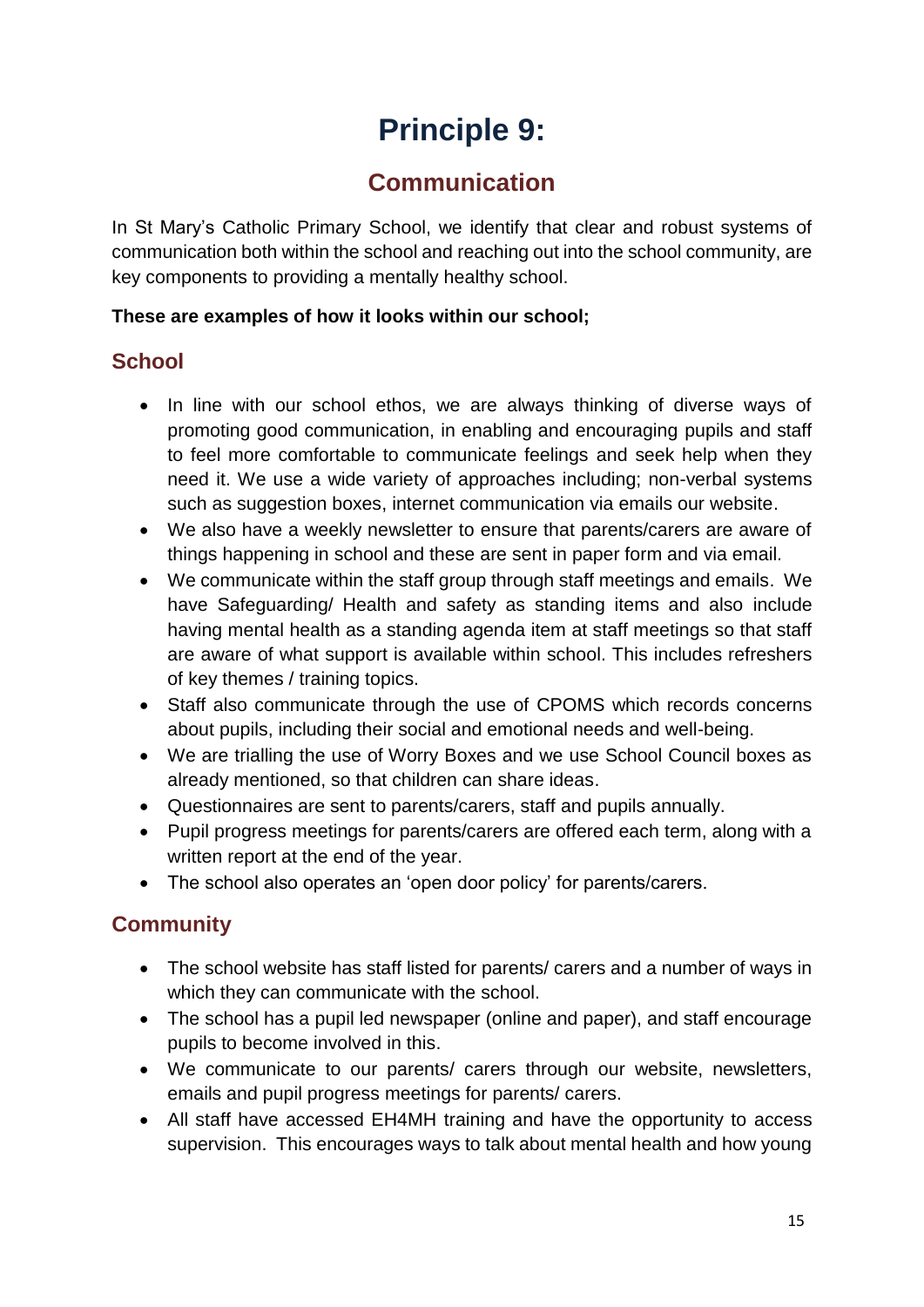# **Principle 9:**

# **Communication**

In St Mary's Catholic Primary School, we identify that clear and robust systems of communication both within the school and reaching out into the school community, are key components to providing a mentally healthy school.

#### **These are examples of how it looks within our school;**

# **School**

- In line with our school ethos, we are always thinking of diverse ways of promoting good communication, in enabling and encouraging pupils and staff to feel more comfortable to communicate feelings and seek help when they need it. We use a wide variety of approaches including; non-verbal systems such as suggestion boxes, internet communication via emails our website.
- We also have a weekly newsletter to ensure that parents/carers are aware of things happening in school and these are sent in paper form and via email.
- We communicate within the staff group through staff meetings and emails. We have Safeguarding/ Health and safety as standing items and also include having mental health as a standing agenda item at staff meetings so that staff are aware of what support is available within school. This includes refreshers of key themes / training topics.
- Staff also communicate through the use of CPOMS which records concerns about pupils, including their social and emotional needs and well-being.
- We are trialling the use of Worry Boxes and we use School Council boxes as already mentioned, so that children can share ideas.
- Questionnaires are sent to parents/carers, staff and pupils annually.
- Pupil progress meetings for parents/carers are offered each term, along with a written report at the end of the year.
- The school also operates an 'open door policy' for parents/carers.

# **Community**

- The school website has staff listed for parents/ carers and a number of ways in which they can communicate with the school.
- The school has a pupil led newspaper (online and paper), and staff encourage pupils to become involved in this.
- We communicate to our parents/ carers through our website, newsletters, emails and pupil progress meetings for parents/ carers.
- All staff have accessed EH4MH training and have the opportunity to access supervision. This encourages ways to talk about mental health and how young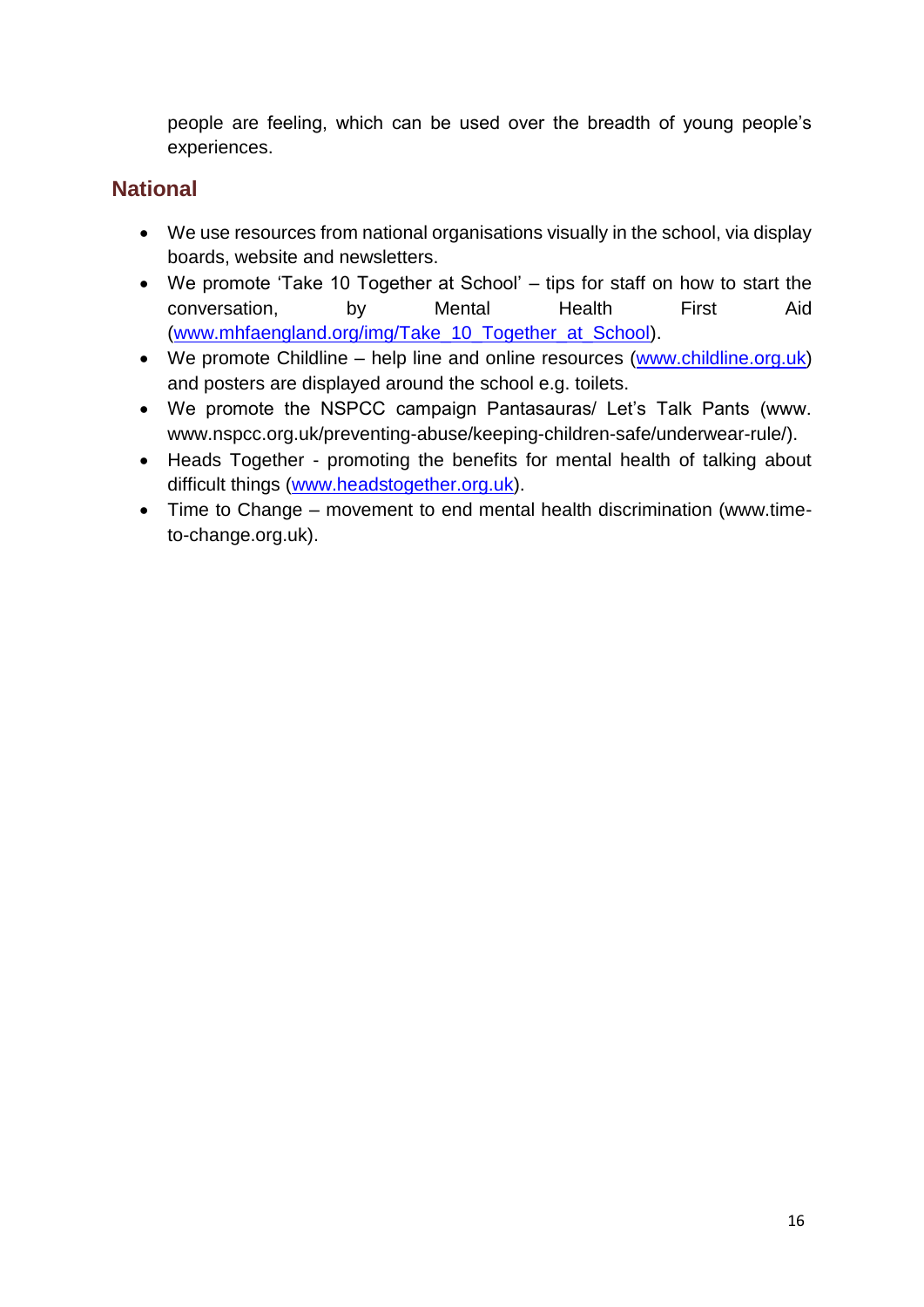people are feeling, which can be used over the breadth of young people's experiences.

# **National**

- We use resources from national organisations visually in the school, via display boards, website and newsletters.
- We promote 'Take 10 Together at School' tips for staff on how to start the conversation, by Mental Health First Aid [\(www.mhfaengland.org/img/Take\\_10\\_Together\\_at\\_School\)](http://www.mhfaengland.org/img/Take_10_Together_at_School).
- We promote Childline help line and online resources [\(www.childline.org.uk\)](http://www.childline.org.uk/) and posters are displayed around the school e.g. toilets.
- We promote the NSPCC campaign Pantasauras/ Let's Talk Pants (www. [www.nspcc.org.uk/preventing-abuse/keeping-children-safe/underwear-rule/\)](http://www.nspcc.org.uk/preventing-abuse/keeping-children-safe/underwear-rule/).
- Heads Together promoting the benefits for mental health of talking about difficult things [\(www.headstogether.org.uk\)](http://www.headstogether.org.uk/).
- Time to Change movement to end mental health discrimination (www.timeto-change.org.uk).